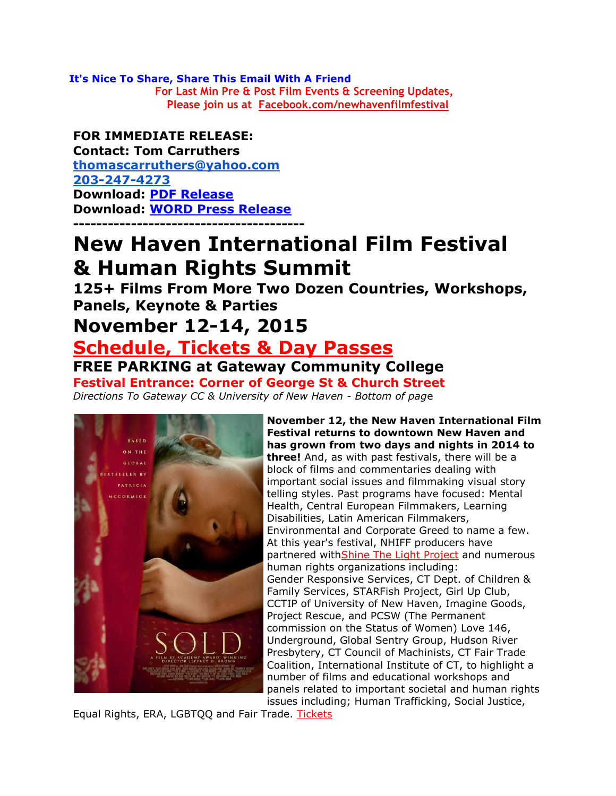**It's Nice To Share, Share This Email With A Friend For Last Min Pre & Post Film Events & Screening Updates, Please join us at [Facebook.com/newhavenfilmfestival](http://r20.rs6.net/tn.jsp?t=a85b8uvab.0.hsutzuvab.r55evccab.1244644355&r=3&p=http%3A%2F%2FFacebook.com%2Fnewhavenfilmfestival)**

### **FOR IMMEDIATE RELEASE:**

**Contact: Tom Carruthers [thomascarruthers@yahoo.com](mailto:thomascarruthers@yahoo.com) [203-247-4273](tel:203-247-4273) Download: [PDF Release](http://r20.rs6.net/tn.jsp?t=a85b8uvab.0.f5dd8uvab.r55evccab.1244644355&r=3&p=http%3A%2F%2Ffiles.ctctcdn.com%2F1db72558001%2Fb76c9311-ddf2-41dc-8a50-dc271ac5ae2d.pdf%3Futm_source%3DFOR%2BIMMEDIATE%2BRELEASE%2BNew%2BHaven%2BFilm%2BFestival%2BNov%2B12-14%2BGateway%2BCC%2B%2526%2BUniversity%2B%26utm_campaign%3DNHIFF%2B%25231%2BPress%2BRelease%26utm_medium%3Demail) Download: [WORD Press Release](http://r20.rs6.net/tn.jsp?t=a85b8uvab.0.g5dd8uvab.r55evccab.1244644355&r=3&p=https%3A%2F%2Fdrive.google.com%2Ffile%2Fd%2F0BwXRyPRql_ouaFVoTndCc3MwbWc%2Fview%3Fusp%3Dsharing%26utm_source%3DFOR%2BIMMEDIATE%2BRELEASE%2BNew%2BHaven%2BFilm%2BFestival%2BNov%2B12-14%2BGateway%2BCC%2B%2526%2BUniversity%2B%26utm_campaign%3DNHIFF%2B%25231%2BPress%2BRelease%26utm_medium%3Demail) ----------------------------------------**

# **New Haven International Film Festival & Human Rights Summit**

**125+ Films From More Two Dozen Countries, Workshops, Panels, Keynote & Parties**

## **November 12-14, 2015**

# **Schedule, [Tickets & Day Passes](http://r20.rs6.net/tn.jsp?t=a85b8uvab.0.9vku6asab.r55evccab.1244644355&r=3&p=http%3A%2F%2Fwww.newhavenfilmfestival.com%2F%3Futm_source%3DFOR%2BIMMEDIATE%2BRELEASE%2BNew%2BHaven%2BFilm%2BFestival%2BNov%2B12-14%2BGateway%2BCC%2B%2526%2BUniversity%2B%26utm_campaign%3DNHIFF%2B%25231%2BPress%2BRelease%26utm_medium%3Demail)**

**FREE PARKING at Gateway Community College**

**Festival Entrance: Corner of George St & Church Street** *Directions To Gateway CC & University of New Haven - Bottom of pag*e



**November 12, the New Haven International Film Festival returns to downtown New Haven and has grown from two days and nights in 2014 to three!** And, as with past festivals, there will be a block of films and commentaries dealing with important social issues and filmmaking visual story telling styles. Past programs have focused: Mental Health, Central European Filmmakers, Learning Disabilities, Latin American Filmmakers, Environmental and Corporate Greed to name a few. At this year's festival, NHIFF producers have partnered wit[hShine The Light Project](http://r20.rs6.net/tn.jsp?t=a85b8uvab.0.isutzuvab.r55evccab.1244644355&r=3&p=http%3A%2F%2Fwww.shinethelightproject.com%2F%3Futm_source%3DFOR%2BIMMEDIATE%2BRELEASE%2BNew%2BHaven%2BFilm%2BFestival%2BNov%2B12-14%2BGateway%2BCC%2B%2526%2BUniversity%2B%26utm_campaign%3DNHIFF%2B%25231%2BPress%2BRelease%26utm_medium%3Demail) and numerous human rights organizations including: Gender Responsive Services, CT Dept. of Children & Family Services, STARFish Project, Girl Up Club, CCTIP of University of New Haven, Imagine Goods, Project Rescue, and PCSW (The Permanent commission on the Status of Women) Love 146, Underground, Global Sentry Group, Hudson River Presbytery, CT Council of Machinists, CT Fair Trade Coalition, International Institute of CT, to highlight a number of films and educational workshops and panels related to important societal and human rights issues including; Human Trafficking, Social Justice,

Equal Rights, ERA, LGBTQQ and Fair Trade. [Tickets](http://r20.rs6.net/tn.jsp?t=a85b8uvab.0.jsutzuvab.r55evccab.1244644355&r=3&p=https%3A%2F%2Fwww.eventbrite.com%2Fe%2Fnew-haven-international-film-festival-human-rights-summit-tickets-3174439835%3Futm_source%3DFOR%2BIMMEDIATE%2BRELEASE%2BNew%2BHaven%2BFilm%2BFestival%2BNov%2B12-14%2BGateway%2BCC%2B%2526%2BUniversity%2B%26utm_campaign%3DNHIFF%2B%25231%2BPress%2BRelease%26utm_medium%3Demail)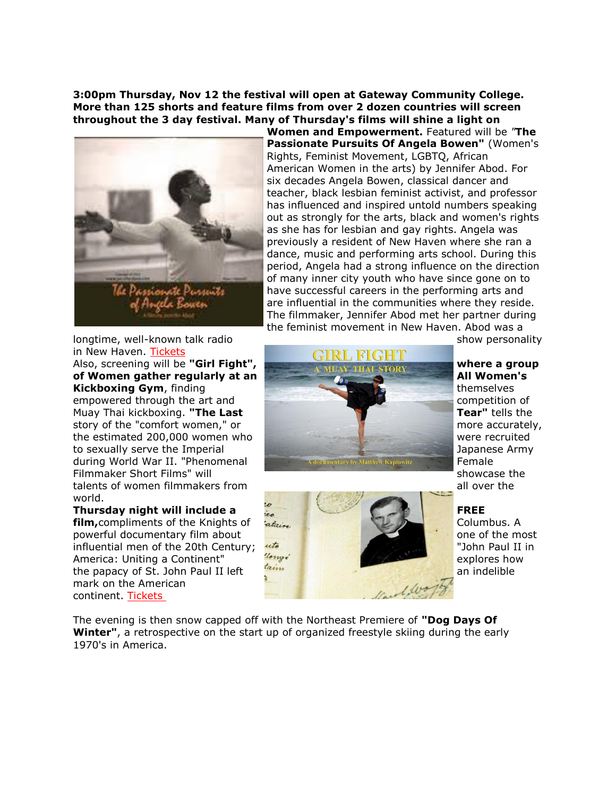**3:00pm Thursday, Nov 12 the festival will open at Gateway Community College. More than 125 shorts and feature films from over 2 dozen countries will screen throughout the 3 day festival. Many of Thursday's films will shine a light on** 



**Women and Empowerment.** Featured will be *"***The Passionate Pursuits Of Angela Bowen"** (Women's Rights, Feminist Movement, LGBTQ, African American Women in the arts) by Jennifer Abod. For six decades Angela Bowen, classical dancer and teacher, black lesbian feminist activist, and professor has influenced and inspired untold numbers speaking out as strongly for the arts, black and women's rights as she has for lesbian and gay rights. Angela was previously a resident of New Haven where she ran a dance, music and performing arts school. During this period, Angela had a strong influence on the direction of many inner city youth who have since gone on to have successful careers in the performing arts and are influential in the communities where they reside. The filmmaker, Jennifer Abod met her partner during the feminist movement in New Haven. Abod was a

longtime, well-known talk radio show personality show personality in New Haven. [Tickets](http://r20.rs6.net/tn.jsp?t=a85b8uvab.0.jsutzuvab.r55evccab.1244644355&r=3&p=https%3A%2F%2Fwww.eventbrite.com%2Fe%2Fnew-haven-international-film-festival-human-rights-summit-tickets-3174439835%3Futm_source%3DFOR%2BIMMEDIATE%2BRELEASE%2BNew%2BHaven%2BFilm%2BFestival%2BNov%2B12-14%2BGateway%2BCC%2B%2526%2BUniversity%2B%26utm_campaign%3DNHIFF%2B%25231%2BPress%2BRelease%26utm_medium%3Demail)

talents of women filmmakers from a state of the state of the state of the state of the state of the state of the world.

mark on the American continent. [Tickets](http://r20.rs6.net/tn.jsp?t=a85b8uvab.0.jsutzuvab.r55evccab.1244644355&r=3&p=https%3A%2F%2Fwww.eventbrite.com%2Fe%2Fnew-haven-international-film-festival-human-rights-summit-tickets-3174439835%3Futm_source%3DFOR%2BIMMEDIATE%2BRELEASE%2BNew%2BHaven%2BFilm%2BFestival%2BNov%2B12-14%2BGateway%2BCC%2B%2526%2BUniversity%2B%26utm_campaign%3DNHIFF%2B%25231%2BPress%2BRelease%26utm_medium%3Demail)





The evening is then snow capped off with the Northeast Premiere of **"Dog Days Of Winter"**, a retrospective on the start up of organized freestyle skiing during the early 1970's in America.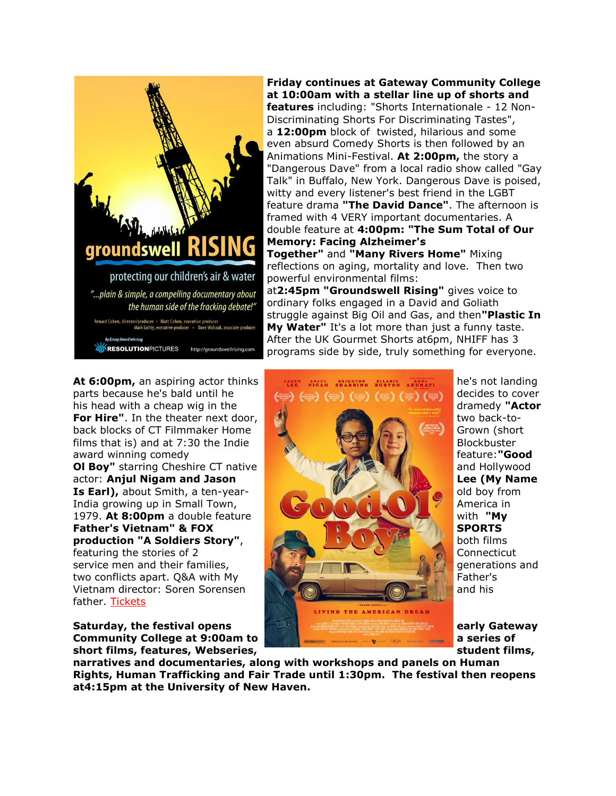

**Friday continues at Gateway Community College at 10:00am with a stellar line up of shorts and features** including: "Shorts Internationale - 12 Non-Discriminating Shorts For Discriminating Tastes", a **12:00pm** block of twisted, hilarious and some even absurd Comedy Shorts is then followed by an Animations Mini-Festival. **At 2:00pm,** the story a "Dangerous Dave" from a local radio show called "Gay Talk" in Buffalo, New York. Dangerous Dave is poised, witty and every listener's best friend in the LGBT feature drama **"The David Dance"**. The afternoon is framed with 4 VERY important documentaries. A double feature at **4:00pm: "The Sum Total of Our Memory: Facing Alzheimer's Together"** and **"Many Rivers Home"** Mixing

reflections on aging, mortality and love. Then two powerful environmental films:

at**2:45pm "Groundswell Rising"** gives voice to ordinary folks engaged in a David and Goliath struggle against Big Oil and Gas, and then**"Plastic In My Water"** It's a lot more than just a funny taste. After the UK Gourmet Shorts at6pm, NHIFF has 3 programs side by side, truly something for everyone.

parts because he's bald until he decides to cover his head with a cheap wig in the dramedy **"Actor dramedy "Actor dramedy "Actor For Hire"**. In the theater next door, **the second control of the theater in the theater next door, the second control of two back-to**back blocks of CT Filmmaker Home Grown (short Grown (short films that is) and at 7:30 the Indie Blockbuster Blockbuster award winning comedy **feature:**"Good **feature:"Good OI Boy"** starring Cheshire CT native **ALCOMENDAM AND STARTING AND STARTING AND STARTING AND AND THE ANGELET OF DETAILS AND THE ANGELET OF DETAILS AND THE ANGELET OF DETAILS AND THE ANGELET OF DETAILS AND THE ANGELET OF DE** actor: **Anjul Nigam and Jason Lee (My Name Is Earl),** about Smith, a ten-year-India growing up in Small Town, America in America in **Father's Vietnam" & FOX SPORTS SPORTS production "A Soldiers Story", and the story of the story of the story of the story of the story of the story of the story of the story of the story of the story of the story of the story of the story of the story of the** featuring the stories of 2 Connecticut service men and their families, generations and generations and

father. [Tickets](http://r20.rs6.net/tn.jsp?t=a85b8uvab.0.jsutzuvab.r55evccab.1244644355&r=3&p=https%3A%2F%2Fwww.eventbrite.com%2Fe%2Fnew-haven-international-film-festival-human-rights-summit-tickets-3174439835%3Futm_source%3DFOR%2BIMMEDIATE%2BRELEASE%2BNew%2BHaven%2BFilm%2BFestival%2BNov%2B12-14%2BGateway%2BCC%2B%2526%2BUniversity%2B%26utm_campaign%3DNHIFF%2B%25231%2BPress%2BRelease%26utm_medium%3Demail)

short films, features, Webseries, **with a student films, in the student films**,



**narratives and documentaries, along with workshops and panels on Human Rights, Human Trafficking and Fair Trade until 1:30pm. The festival then reopens at4:15pm at the University of New Haven.**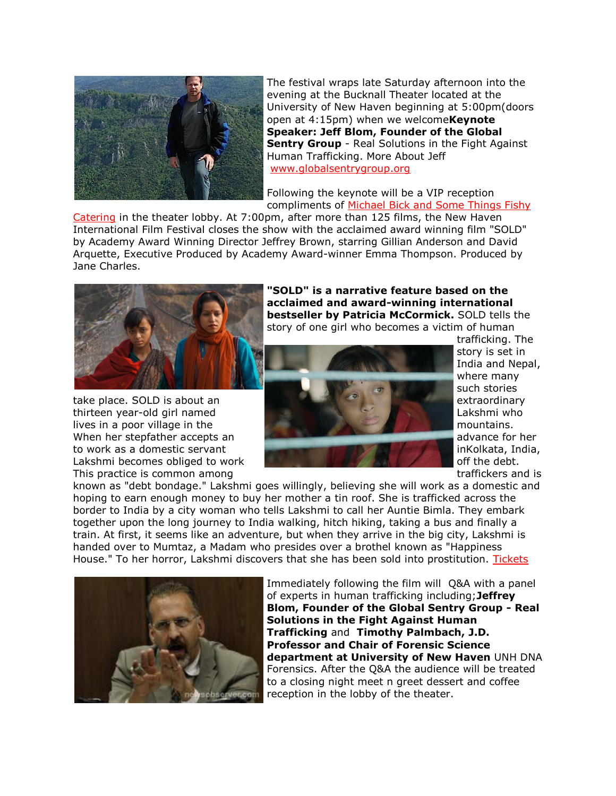

The festival wraps late Saturday afternoon into the evening at the Bucknall Theater located at the University of New Haven beginning at 5:00pm(doors open at 4:15pm) when we welcome**Keynote Speaker: Jeff Blom, Founder of the Global Sentry Group** - Real Solutions in the Fight Against Human Trafficking. More About Jeff [www.globalsentrygroup.org](http://r20.rs6.net/tn.jsp?t=a85b8uvab.0.ksutzuvab.r55evccab.1244644355&r=3&p=http%3A%2F%2Fwww.globalsentrygroup.org%2Fblog%2Fa-word-from-our-founder-jeff-blom%2F%3Futm_source%3DFOR%2BIMMEDIATE%2BRELEASE%2BNew%2BHaven%2BFilm%2BFestival%2BNov%2B12-14%2BGateway%2BCC%2B%2526%2BUniversity%2B%26utm_campaign%3DNHIFF%2B%25231%2BPress%2BRelease%26utm_medium%3Demail)

Following the keynote will be a VIP reception compliments of [Michael Bick and Some Things Fishy](http://r20.rs6.net/tn.jsp?t=a85b8uvab.0.lomupucab.r55evccab.1244644355&r=3&p=http%3A%2F%2Fwww.somethingsfishycatering.com%2F%3Futm_source%3DFOR%2BIMMEDIATE%2BRELEASE%2BNew%2BHaven%2BFilm%2BFestival%2BNov%2B12-14%2BGateway%2BCC%2B%2526%2BUniversity%2B%26utm_campaign%3DNHIFF%2B%25231%2BPress%2BRelease%26utm_medium%3Demail) 

[Catering](http://r20.rs6.net/tn.jsp?t=a85b8uvab.0.lomupucab.r55evccab.1244644355&r=3&p=http%3A%2F%2Fwww.somethingsfishycatering.com%2F%3Futm_source%3DFOR%2BIMMEDIATE%2BRELEASE%2BNew%2BHaven%2BFilm%2BFestival%2BNov%2B12-14%2BGateway%2BCC%2B%2526%2BUniversity%2B%26utm_campaign%3DNHIFF%2B%25231%2BPress%2BRelease%26utm_medium%3Demail) in the theater lobby. At 7:00pm, after more than 125 films, the New Haven International Film Festival closes the show with the acclaimed award winning film "SOLD" by Academy Award Winning Director Jeffrey Brown, starring Gillian Anderson and David Arquette, Executive Produced by Academy Award-winner Emma Thompson. Produced by Jane Charles.



This practice is common among the same transmission of the state of the traffickers and is

**"SOLD" is a narrative feature based on the acclaimed and award-winning international bestseller by Patricia McCormick.** SOLD tells the story of one girl who becomes a victim of human



trafficking. The story is set in India and Nepal, where many such stories

known as "debt bondage." Lakshmi goes willingly, believing she will work as a domestic and hoping to earn enough money to buy her mother a tin roof. She is trafficked across the border to India by a city woman who tells Lakshmi to call her Auntie Bimla. They embark together upon the long journey to India walking, hitch hiking, taking a bus and finally a train. At first, it seems like an adventure, but when they arrive in the big city, Lakshmi is handed over to Mumtaz, a Madam who presides over a brothel known as "Happiness House." To her horror, Lakshmi discovers that she has been sold into prostitution. [Tickets](http://r20.rs6.net/tn.jsp?t=a85b8uvab.0.jsutzuvab.r55evccab.1244644355&r=3&p=https%3A%2F%2Fwww.eventbrite.com%2Fe%2Fnew-haven-international-film-festival-human-rights-summit-tickets-3174439835%3Futm_source%3DFOR%2BIMMEDIATE%2BRELEASE%2BNew%2BHaven%2BFilm%2BFestival%2BNov%2B12-14%2BGateway%2BCC%2B%2526%2BUniversity%2B%26utm_campaign%3DNHIFF%2B%25231%2BPress%2BRelease%26utm_medium%3Demail)



Immediately following the film will Q&A with a panel of experts in human trafficking including;**Jeffrey Blom, Founder of the Global Sentry Group - Real Solutions in the Fight Against Human Trafficking** and **Timothy Palmbach, J.D. Professor and Chair of Forensic Science department at University of New Haven** UNH DNA Forensics. After the Q&A the audience will be treated to a closing night meet n greet dessert and coffee reception in the lobby of the theater.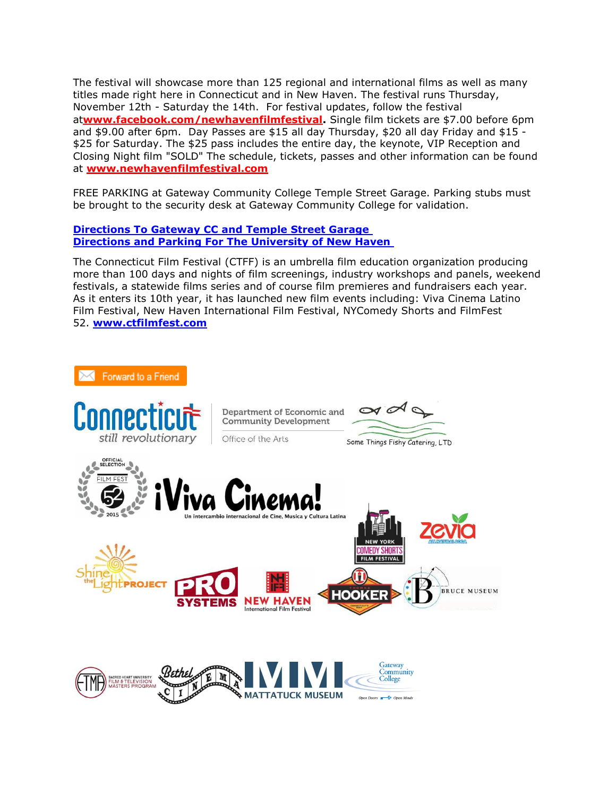The festival will showcase more than 125 regional and international films as well as many titles made right here in Connecticut and in New Haven. The festival runs Thursday, November 12th - Saturday the 14th. For festival updates, follow the festival at**[www.facebook.com/newhavenfilmfestival.](http://r20.rs6.net/tn.jsp?t=a85b8uvab.0.lsutzuvab.r55evccab.1244644355&r=3&p=http%3A%2F%2Fwww.facebook.com%2Fnewhavenfilmfestival)** Single film tickets are \$7.00 before 6pm and \$9.00 after 6pm. Day Passes are \$15 all day Thursday, \$20 all day Friday and \$15 - \$25 for Saturday. The \$25 pass includes the entire day, the keynote, VIP Reception and Closing Night film "SOLD" The schedule, tickets, passes and other information can be found at **[www.newhavenfilmfestival.com](http://r20.rs6.net/tn.jsp?t=a85b8uvab.0.9vku6asab.r55evccab.1244644355&r=3&p=http%3A%2F%2Fwww.newhavenfilmfestival.com%2F%3Futm_source%3DFOR%2BIMMEDIATE%2BRELEASE%2BNew%2BHaven%2BFilm%2BFestival%2BNov%2B12-14%2BGateway%2BCC%2B%2526%2BUniversity%2B%26utm_campaign%3DNHIFF%2B%25231%2BPress%2BRelease%26utm_medium%3Demail)**

FREE PARKING at Gateway Community College Temple Street Garage. Parking stubs must be brought to the security desk at Gateway Community College for validation.

### **[Directions To Gateway CC and Temple Street Garage](http://r20.rs6.net/tn.jsp?t=a85b8uvab.0.jy5xzuvab.r55evccab.1244644355&r=3&p=http%3A%2F%2Fwww.gatewayct.edu%2FContact-Us%2FDirections-Parking%3Futm_source%3DFOR%2BIMMEDIATE%2BRELEASE%2BNew%2BHaven%2BFilm%2BFestival%2BNov%2B12-14%2BGateway%2BCC%2B%2526%2BUniversity%2B%26utm_campaign%3DNHIFF%2B%25231%2BPress%2BRelease%26utm_medium%3Demail) [Directions and Parking For The University of New Haven](http://r20.rs6.net/tn.jsp?t=a85b8uvab.0.ky5xzuvab.r55evccab.1244644355&r=3&p=http%3A%2F%2Fwww.newhaven.edu%2Fabout%2Fvisitors%2Fdirections%2F%3Futm_source%3DFOR%2BIMMEDIATE%2BRELEASE%2BNew%2BHaven%2BFilm%2BFestival%2BNov%2B12-14%2BGateway%2BCC%2B%2526%2BUniversity%2B%26utm_campaign%3DNHIFF%2B%25231%2BPress%2BRelease%26utm_medium%3Demail)**

The Connecticut Film Festival (CTFF) is an umbrella film education organization producing more than 100 days and nights of film screenings, industry workshops and panels, weekend festivals, a statewide films series and of course film premieres and fundraisers each year. As it enters its 10th year, it has launched new film events including: Viva Cinema Latino Film Festival, New Haven International Film Festival, NYComedy Shorts and FilmFest 52. **[www.ctfilmfest.com](http://r20.rs6.net/tn.jsp?t=a85b8uvab.0.jep9g6tab.r55evccab.1244644355&r=3&p=https%3A%2F%2Fwww.facebook.com%2Fpages%2FFilmFest52%2F1619131124984256%3Fref%3Dhl)**